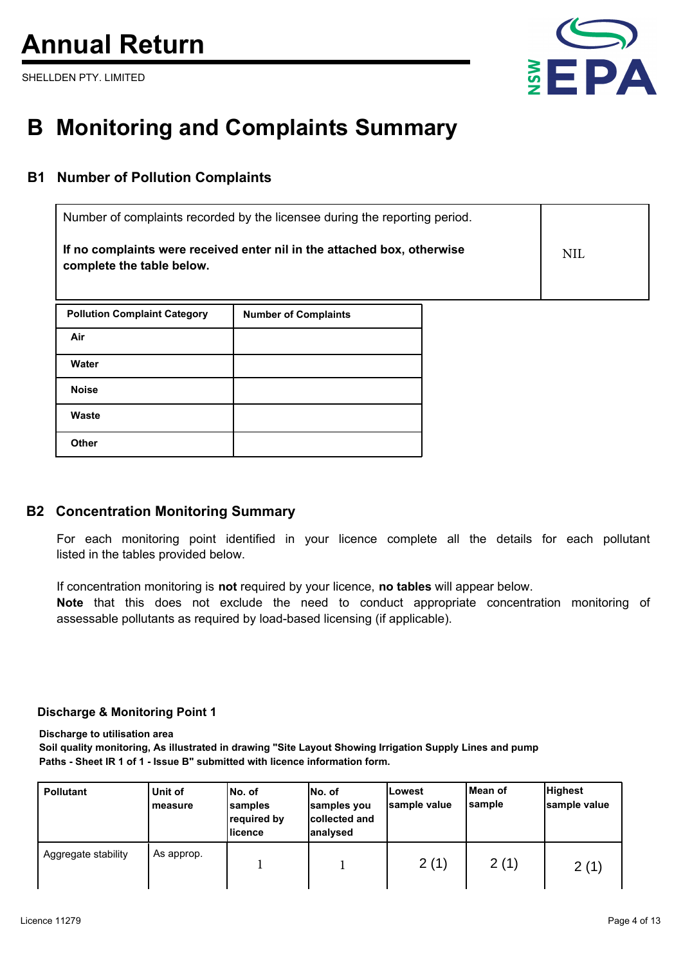# **Annual Return**

SHELLDEN PTY. LIMITED



# **B Monitoring and Complaints Summary**

## **B1 Number of Pollution Complaints**

| Number of complaints recorded by the licensee during the reporting period.                           |     |
|------------------------------------------------------------------------------------------------------|-----|
| If no complaints were received enter nil in the attached box, otherwise<br>complete the table below. | NIL |

| <b>Pollution Complaint Category</b> | <b>Number of Complaints</b> |
|-------------------------------------|-----------------------------|
| Air                                 |                             |
| Water                               |                             |
| <b>Noise</b>                        |                             |
| Waste                               |                             |
| <b>Other</b>                        |                             |

### **B2 Concentration Monitoring Summary**

For each monitoring point identified in your licence complete all the details for each pollutant listed in the tables provided below.

If concentration monitoring is **not** required by your licence, **no tables** will appear below.

**Note** that this does not exclude the need to conduct appropriate concentration monitoring of assessable pollutants as required by load-based licensing (if applicable).

#### **Discharge & Monitoring Point 1**

**Discharge to utilisation area**

**Soil quality monitoring, As illustrated in drawing "Site Layout Showing Irrigation Supply Lines and pump Paths - Sheet IR 1 of 1 - Issue B" submitted with licence information form.**

| <b>Pollutant</b>    | Unit of<br>measure | No. of<br>samples<br>required by<br>licence | INo. of<br>samples you<br>collected and<br>lanalvsed | lLowest<br>sample value | lMean of<br> sample | <b>Highest</b><br>sample value |
|---------------------|--------------------|---------------------------------------------|------------------------------------------------------|-------------------------|---------------------|--------------------------------|
| Aggregate stability | As approp.         |                                             |                                                      | 2(1)                    | 2(1)                | 2(1)                           |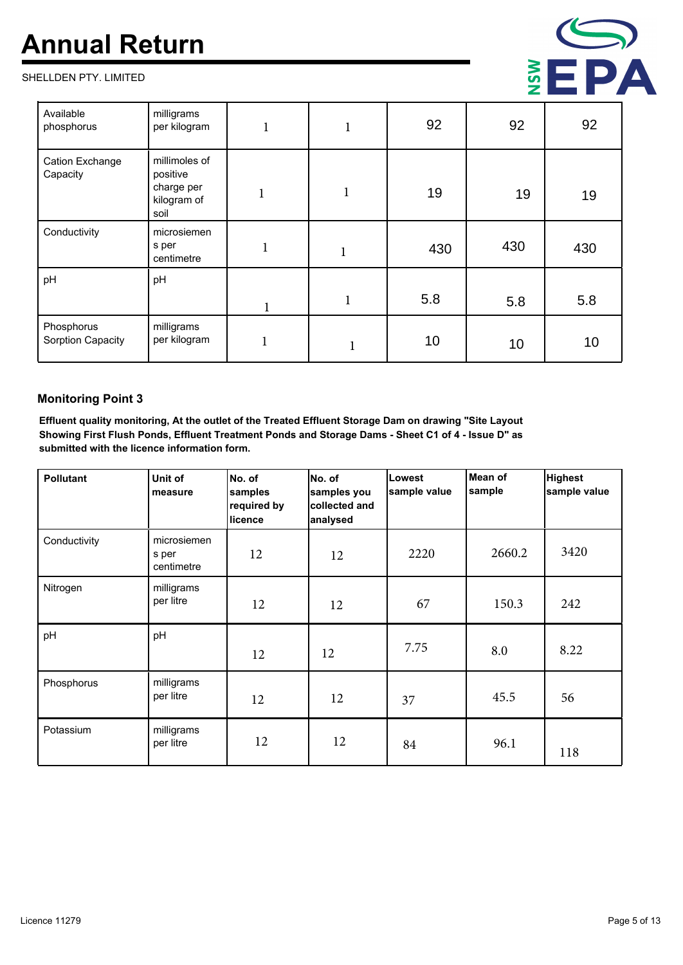# **Annual Return**

SHELLDEN PTY. LIMITED



| Available<br>phosphorus         | milligrams<br>per kilogram                                     |   | $\mathbf{1}$ | 92  | 92  | 92  |
|---------------------------------|----------------------------------------------------------------|---|--------------|-----|-----|-----|
| Cation Exchange<br>Capacity     | millimoles of<br>positive<br>charge per<br>kilogram of<br>soil | 1 | $\bf{l}$     | 19  | 19  | 19  |
| Conductivity                    | microsiemen<br>s per<br>centimetre                             | п | T            | 430 | 430 | 430 |
| pH                              | pH                                                             |   |              |     |     |     |
|                                 |                                                                |   | $\mathbf{1}$ | 5.8 | 5.8 | 5.8 |
| Phosphorus<br>Sorption Capacity | milligrams<br>per kilogram                                     |   |              | 10  | 10  | 10  |

#### **Monitoring Point 3**

**Effluent quality monitoring, At the outlet of the Treated Effluent Storage Dam on drawing "Site Layout Showing First Flush Ponds, Effluent Treatment Ponds and Storage Dams - Sheet C1 of 4 - Issue D" as submitted with the licence information form.**

| <b>Pollutant</b> | Unit of<br>measure                 | No. of<br>samples<br>required by<br>licence | No. of<br>samples you<br>collected and<br>analysed | Lowest<br>sample value | Mean of<br>sample | <b>Highest</b><br>sample value |
|------------------|------------------------------------|---------------------------------------------|----------------------------------------------------|------------------------|-------------------|--------------------------------|
| Conductivity     | microsiemen<br>s per<br>centimetre | 12                                          | 12                                                 | 2220                   | 2660.2            | 3420                           |
| Nitrogen         | milligrams<br>per litre            | 12                                          | 12                                                 | 67                     | 150.3             | 242                            |
| pH               | pH                                 | 12                                          | 12                                                 | 7.75                   | 8.0               | 8.22                           |
| Phosphorus       | milligrams<br>per litre            | 12                                          | 12                                                 | 37                     | 45.5              | 56                             |
| Potassium        | milligrams<br>per litre            | 12                                          | 12                                                 | 84                     | 96.1              | 118                            |